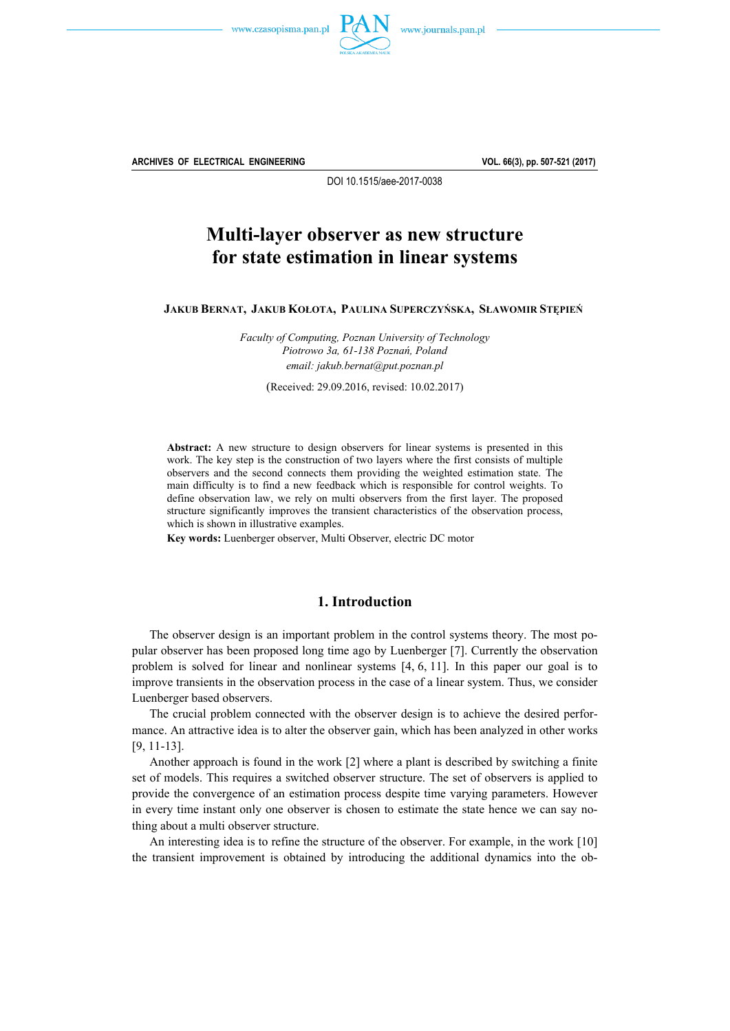



**ARCHIVES OF ELECTRICAL ENGINEERING VOL. 66(3), pp. 507-521 (2017)**

DOI 10.1515/aee-2017-0038

# **Multi-layer observer as new structure for state estimation in linear systems**

**JAKUB BERNAT, JAKUB KOŁOTA, PAULINA SUPERCZYŃSKA, SŁAWOMIR STĘPIEŃ**

*Faculty of Computing, Poznan University of Technology Piotrowo 3a, 61-138 Poznań, Poland email: jakub.bernat@put.poznan.pl* 

(Received: 29.09.2016, revised: 10.02.2017)

**Abstract:** A new structure to design observers for linear systems is presented in this work. The key step is the construction of two layers where the first consists of multiple observers and the second connects them providing the weighted estimation state. The main difficulty is to find a new feedback which is responsible for control weights. To define observation law, we rely on multi observers from the first layer. The proposed structure significantly improves the transient characteristics of the observation process, which is shown in illustrative examples.

**Key words:** Luenberger observer, Multi Observer, electric DC motor

## **1. Introduction**

The observer design is an important problem in the control systems theory. The most popular observer has been proposed long time ago by Luenberger [7]. Currently the observation problem is solved for linear and nonlinear systems [4, 6, 11]. In this paper our goal is to improve transients in the observation process in the case of a linear system. Thus, we consider Luenberger based observers.

The crucial problem connected with the observer design is to achieve the desired performance. An attractive idea is to alter the observer gain, which has been analyzed in other works [9, 11-13].

Another approach is found in the work [2] where a plant is described by switching a finite set of models. This requires a switched observer structure. The set of observers is applied to provide the convergence of an estimation process despite time varying parameters. However in every time instant only one observer is chosen to estimate the state hence we can say nothing about a multi observer structure.

An interesting idea is to refine the structure of the observer. For example, in the work [10] the transient improvement is obtained by introducing the additional dynamics into the ob-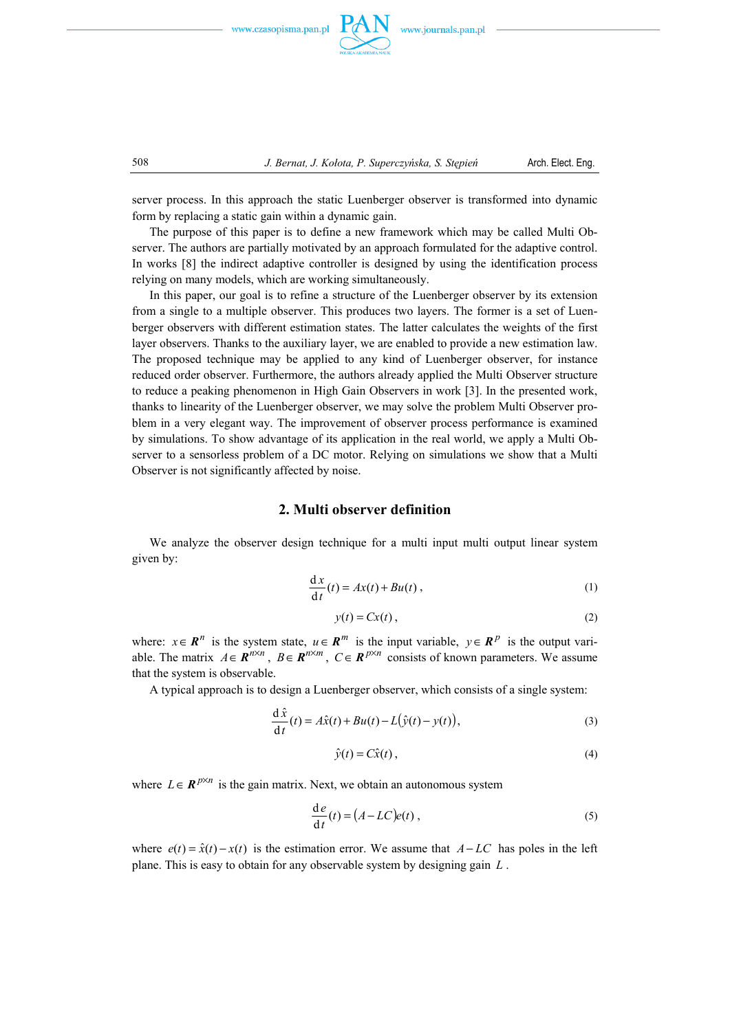



server process. In this approach the static Luenberger observer is transformed into dynamic form by replacing a static gain within a dynamic gain.

The purpose of this paper is to define a new framework which may be called Multi Observer. The authors are partially motivated by an approach formulated for the adaptive control. In works [8] the indirect adaptive controller is designed by using the identification process relying on many models, which are working simultaneously.

In this paper, our goal is to refine a structure of the Luenberger observer by its extension from a single to a multiple observer. This produces two layers. The former is a set of Luenberger observers with different estimation states. The latter calculates the weights of the first layer observers. Thanks to the auxiliary layer, we are enabled to provide a new estimation law. The proposed technique may be applied to any kind of Luenberger observer, for instance reduced order observer. Furthermore, the authors already applied the Multi Observer structure to reduce a peaking phenomenon in High Gain Observers in work [3]. In the presented work, thanks to linearity of the Luenberger observer, we may solve the problem Multi Observer problem in a very elegant way. The improvement of observer process performance is examined by simulations. To show advantage of its application in the real world, we apply a Multi Observer to a sensorless problem of a DC motor. Relying on simulations we show that a Multi Observer is not significantly affected by noise.

## **2. Multi observer definition**

We analyze the observer design technique for a multi input multi output linear system given by:

$$
\frac{dx}{dt}(t) = Ax(t) + Bu(t),
$$
\n(1)

$$
y(t) = Cx(t),\tag{2}
$$

where:  $x \in \mathbb{R}^n$  is the system state,  $u \in \mathbb{R}^m$  is the input variable,  $y \in \mathbb{R}^p$  is the output variable. The matrix  $A \in \mathbb{R}^{n \times n}$ ,  $B \in \mathbb{R}^{n \times m}$ ,  $C \in \mathbb{R}^{p \times n}$  consists of known parameters. We assume that the system is observable.

A typical approach is to design a Luenberger observer, which consists of a single system:

$$
\frac{\mathrm{d}\hat{x}}{\mathrm{d}t}(t) = A\hat{x}(t) + Bu(t) - L(\hat{y}(t) - y(t)),\tag{3}
$$

$$
\hat{y}(t) = C\hat{x}(t),\tag{4}
$$

where  $L \in \mathbb{R}^{p \times n}$  is the gain matrix. Next, we obtain an autonomous system

$$
\frac{d e}{dt}(t) = (A - LC)e(t) ,
$$
 (5)

where  $e(t) = \hat{x}(t) - x(t)$  is the estimation error. We assume that  $A - LC$  has poles in the left plane. This is easy to obtain for any observable system by designing gain *L* .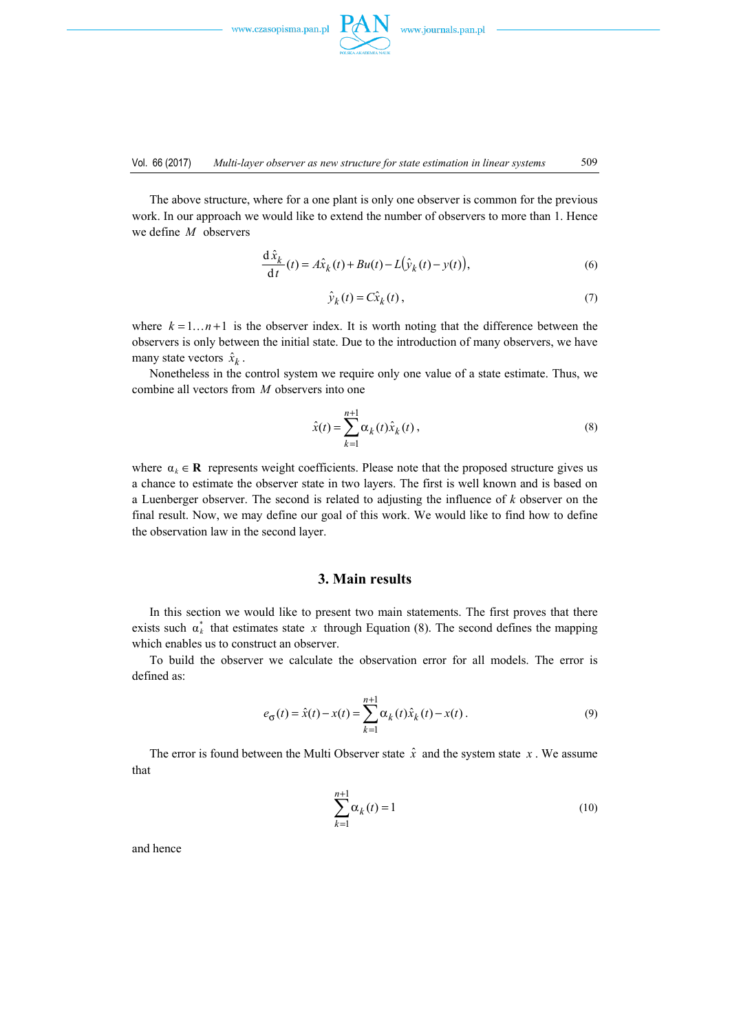

The above structure, where for a one plant is only one observer is common for the previous work. In our approach we would like to extend the number of observers to more than 1. Hence we define *M* observers

$$
\frac{\mathrm{d}\hat{x}_k}{\mathrm{d}t}(t) = A\hat{x}_k(t) + Bu(t) - L(\hat{y}_k(t) - y(t)),\tag{6}
$$

$$
\hat{\mathcal{Y}}_k(t) = C\hat{x}_k(t),\tag{7}
$$

where  $k = 1 \dots n+1$  is the observer index. It is worth noting that the difference between the observers is only between the initial state. Due to the introduction of many observers, we have many state vectors  $\hat{x}_k$ .

Nonetheless in the control system we require only one value of a state estimate. Thus, we combine all vectors from *M* observers into one

$$
\hat{x}(t) = \sum_{k=1}^{n+1} \alpha_k(t)\hat{x}_k(t) ,
$$
\n(8)

where  $\alpha_k \in \mathbb{R}$  represents weight coefficients. Please note that the proposed structure gives us a chance to estimate the observer state in two layers. The first is well known and is based on a Luenberger observer. The second is related to adjusting the influence of *k* observer on the final result. Now, we may define our goal of this work. We would like to find how to define the observation law in the second layer.

## **3. Main results**

In this section we would like to present two main statements. The first proves that there exists such  $\alpha_k^*$  that estimates state x through Equation (8). The second defines the mapping which enables us to construct an observer.

To build the observer we calculate the observation error for all models. The error is defined as:

$$
e_{\sigma}(t) = \hat{x}(t) - x(t) = \sum_{k=1}^{n+1} \alpha_k(t)\hat{x}_k(t) - x(t).
$$
 (9)

The error is found between the Multi Observer state  $\hat{x}$  and the system state  $x$ . We assume that

$$
\sum_{k=1}^{n+1} \alpha_k(t) = 1
$$
 (10)

and hence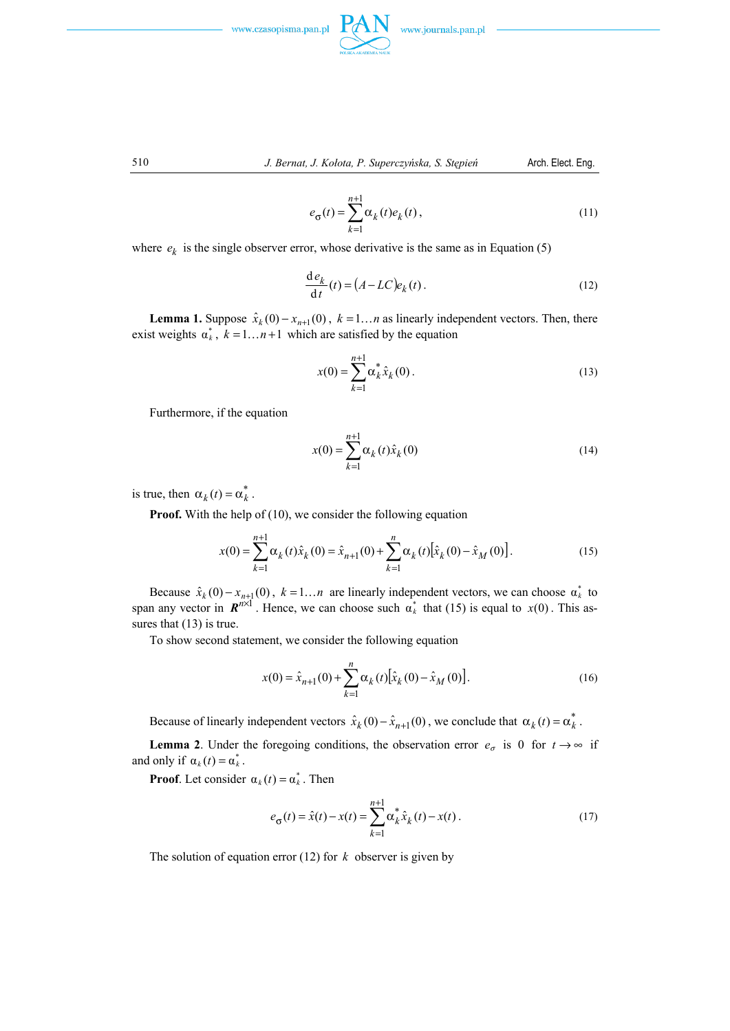

510 *J. Bernat, J. Kołota, P. Superczyńska, S. Stępień* Arch. Elect. Eng.

$$
e_{\sigma}(t) = \sum_{k=1}^{n+1} \alpha_k(t) e_k(t), \qquad (11)
$$

where  $e_k$  is the single observer error, whose derivative is the same as in Equation (5)

$$
\frac{d e_k}{dt}(t) = (A - LC)e_k(t).
$$
\n(12)

**Lemma 1.** Suppose  $\hat{x}_k(0) - x_{n+1}(0)$ ,  $k = 1...n$  as linearly independent vectors. Then, there exist weights  $\alpha_k^*$ ,  $k = 1...n+1$  which are satisfied by the equation

$$
x(0) = \sum_{k=1}^{n+1} \alpha_k^* \hat{x}_k(0).
$$
 (13)

Furthermore, if the equation

$$
x(0) = \sum_{k=1}^{n+1} \alpha_k(t)\hat{x}_k(0)
$$
 (14)

is true, then  $\alpha_k(t) = \alpha_k^*$ .

**Proof.** With the help of (10), we consider the following equation

$$
x(0) = \sum_{k=1}^{n+1} \alpha_k(t)\hat{x}_k(0) = \hat{x}_{n+1}(0) + \sum_{k=1}^n \alpha_k(t)[\hat{x}_k(0) - \hat{x}_M(0)].
$$
 (15)

Because  $\hat{x}_k(0) - x_{n+1}(0)$ ,  $k = 1...n$  are linearly independent vectors, we can choose  $\alpha_k^*$  to span any vector in  $\mathbb{R}^{n \times 1}$ . Hence, we can choose such  $\alpha_k^*$  that (15) is equal to  $x(0)$ . This assures that  $(13)$  is true.

To show second statement, we consider the following equation

$$
x(0) = \hat{x}_{n+1}(0) + \sum_{k=1}^{n} \alpha_k(t) [\hat{x}_k(0) - \hat{x}_M(0)].
$$
 (16)

Because of linearly independent vectors  $\hat{x}_k(0) - \hat{x}_{n+1}(0)$ , we conclude that  $\alpha_k(t) = \alpha_k^*$ .

**Lemma 2**. Under the foregoing conditions, the observation error  $e_{\sigma}$  is 0 for  $t \rightarrow \infty$  if and only if  $\alpha_k(t) = \alpha_k^*$ .

**Proof**. Let consider  $\alpha_k(t) = \alpha_k^*$ . Then

$$
e_{\sigma}(t) = \hat{x}(t) - x(t) = \sum_{k=1}^{n+1} \alpha_k^* \hat{x}_k(t) - x(t).
$$
 (17)

The solution of equation error (12) for *k* observer is given by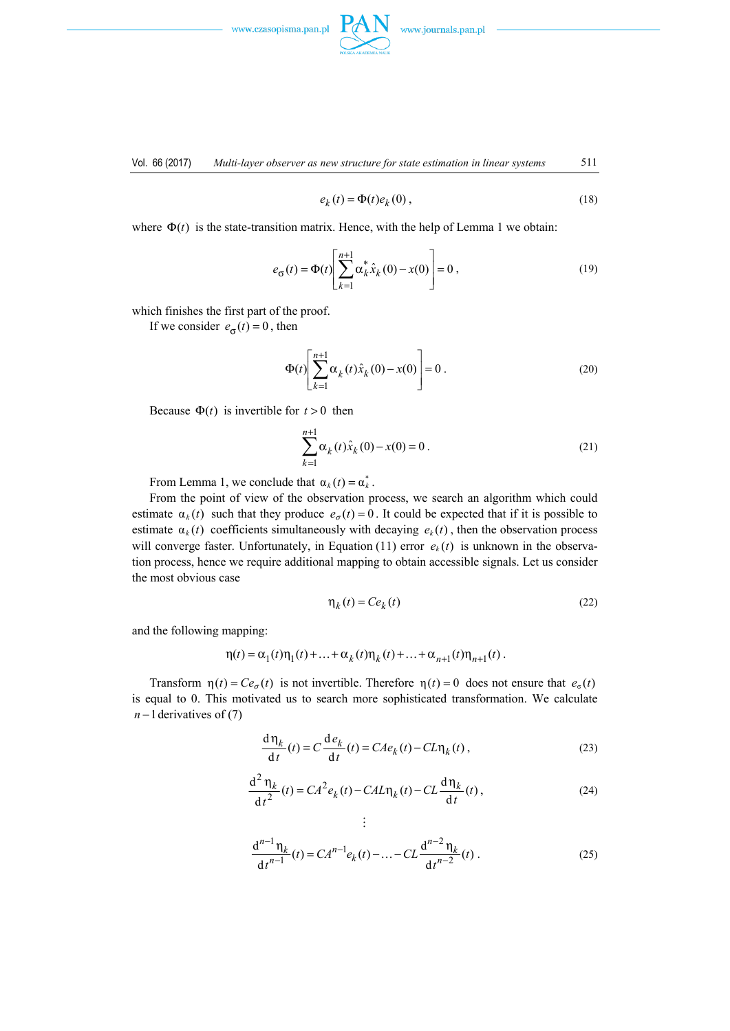

Vol. 66 (2017) *Multi-layer observer as new structure for state estimation in linear systems* 511

$$
e_k(t) = \Phi(t)e_k(0),
$$
\n(18)

where  $\Phi(t)$  is the state-transition matrix. Hence, with the help of Lemma 1 we obtain:

$$
e_{\sigma}(t) = \Phi(t) \left[ \sum_{k=1}^{n+1} \alpha_k^* \hat{x}_k(0) - x(0) \right] = 0, \qquad (19)
$$

which finishes the first part of the proof.

If we consider  $e_{\sigma}(t) = 0$ , then

$$
\Phi(t) \left[ \sum_{k=1}^{n+1} \alpha_k(t) \hat{x}_k(0) - x(0) \right] = 0.
$$
\n(20)

Because  $\Phi(t)$  is invertible for  $t > 0$  then

$$
\sum_{k=1}^{n+1} \alpha_k(t)\hat{x}_k(0) - x(0) = 0.
$$
 (21)

From Lemma 1, we conclude that  $\alpha_k(t) = \alpha_k^*$ .

From the point of view of the observation process, we search an algorithm which could estimate  $\alpha_k(t)$  such that they produce  $e_{\sigma}(t) = 0$ . It could be expected that if it is possible to estimate  $\alpha_k(t)$  coefficients simultaneously with decaying  $e_k(t)$ , then the observation process will converge faster. Unfortunately, in Equation (11) error  $e_k(t)$  is unknown in the observation process, hence we require additional mapping to obtain accessible signals. Let us consider the most obvious case

$$
\eta_k(t) = Ce_k(t) \tag{22}
$$

and the following mapping:

$$
\eta(t) = \alpha_1(t)\eta_1(t) + ... + \alpha_k(t)\eta_k(t) + ... + \alpha_{n+1}(t)\eta_{n+1}(t).
$$

Transform  $\eta(t) = Ce_{\sigma}(t)$  is not invertible. Therefore  $\eta(t) = 0$  does not ensure that  $e_{\sigma}(t)$ is equal to 0. This motivated us to search more sophisticated transformation. We calculate *n* −1 derivatives of (7)

 $\vdots$ 

$$
\frac{d\eta_k}{dt}(t) = C \frac{d e_k}{dt}(t) = C A e_k(t) - C L \eta_k(t),
$$
\n(23)

$$
\frac{\mathrm{d}^2\,\eta_k}{\mathrm{d}\,t^2}(t) = CA^2 e_k(t) - CA L \eta_k(t) - CL \frac{\mathrm{d}\,\eta_k}{\mathrm{d}\,t}(t) \,,\tag{24}
$$

$$
\frac{d^{n-1}\eta_k}{dt^{n-1}}(t) = CA^{n-1}e_k(t) - \dots - CL\frac{d^{n-2}\eta_k}{dt^{n-2}}(t).
$$
 (25)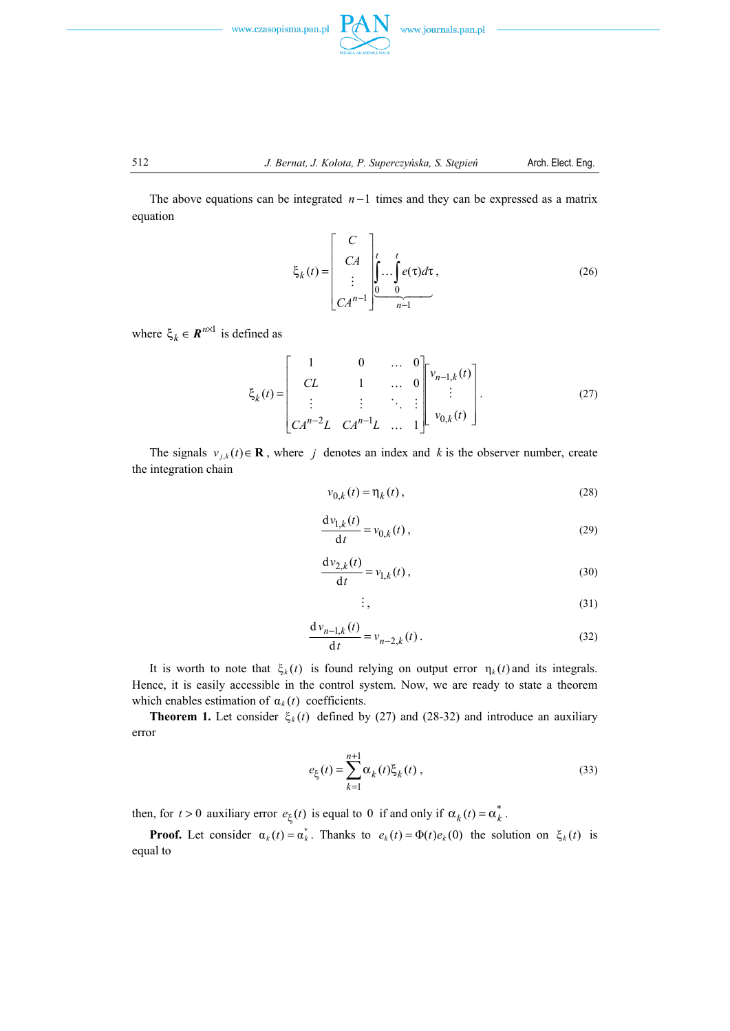



The above equations can be integrated *n* −1 times and they can be expressed as a matrix equation

$$
\xi_k(t) = \begin{bmatrix} C \\ CA \\ \vdots \\ CA^{n-1} \end{bmatrix} \begin{bmatrix} t \\ \vdots \\ 0 \end{bmatrix} \begin{bmatrix} t \\ \vdots \\ 0 \end{bmatrix} e(\tau) d\tau , \qquad (26)
$$

where  $\xi_k \in \mathbf{R}^{n \times 1}$  is defined as

$$
\xi_{k}(t) = \begin{bmatrix} 1 & 0 & \dots & 0 \\ CL & 1 & \dots & 0 \\ \vdots & \vdots & \ddots & \vdots \\ CA^{n-2}L & CA^{n-1}L & \dots & 1 \end{bmatrix} \begin{bmatrix} v_{n-1,k}(t) \\ \vdots \\ v_{0,k}(t) \end{bmatrix} .
$$
 (27)

The signals  $v_{j,k}(t) \in \mathbf{R}$ , where *j* denotes an index and *k* is the observer number, create the integration chain

$$
v_{0,k}(t) = \eta_k(t),\tag{28}
$$

$$
\frac{\mathrm{d}v_{1,k}(t)}{\mathrm{d}t} = v_{0,k}(t) , \qquad (29)
$$

$$
\frac{\mathrm{d}v_{2,k}(t)}{\mathrm{d}t} = v_{1,k}(t) , \qquad (30)
$$

$$
\vdots,\t(31)
$$

$$
\frac{d \nu_{n-1,k}(t)}{dt} = \nu_{n-2,k}(t) \,. \tag{32}
$$

It is worth to note that  $\xi_k(t)$  is found relying on output error  $\eta_k(t)$  and its integrals. Hence, it is easily accessible in the control system. Now, we are ready to state a theorem which enables estimation of  $\alpha_k(t)$  coefficients.

**Theorem 1.** Let consider  $\xi_k(t)$  defined by (27) and (28-32) and introduce an auxiliary error

$$
e_{\xi}(t) = \sum_{k=1}^{n+1} \alpha_k(t) \xi_k(t) ,
$$
 (33)

then, for  $t > 0$  auxiliary error  $e_{\xi}(t)$  is equal to 0 if and only if  $\alpha_k(t) = \alpha_k^*$ .

**Proof.** Let consider  $\alpha_k(t) = \alpha_k^*$ . Thanks to  $e_k(t) = \Phi(t)e_k(0)$  the solution on  $\xi_k(t)$  is equal to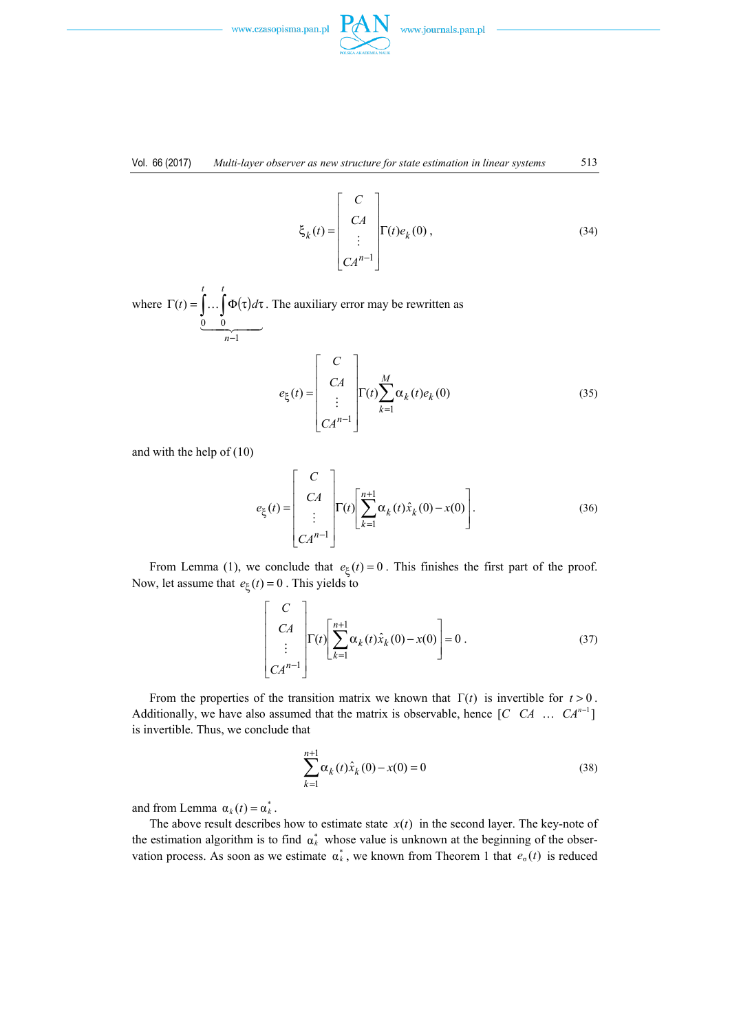



$$
\xi_k(t) = \begin{bmatrix} C \\ CA \\ \vdots \\ CA^{n-1} \end{bmatrix} \Gamma(t)e_k(0) , \qquad (34)
$$

where  $\Gamma(t) = | \dots | \Phi(\tau)$  $\frac{0}{2}$   $\frac{0}{2}$   $\frac{0}{2}$   $\frac{0}{2}$   $\frac{0}{2}$   $\frac{0}{2}$   $\frac{0}{2}$   $\frac{0}{2}$   $\frac{0}{2}$   $\frac{0}{2}$   $\frac{0}{2}$   $\frac{0}{2}$   $\frac{0}{2}$   $\frac{0}{2}$   $\frac{0}{2}$   $\frac{0}{2}$   $\frac{0}{2}$   $\frac{0}{2}$   $\frac{0}{2}$   $\frac{0}{2}$   $\frac{0}{2}$   $\frac{0}{2}$   $\ldots$ 1 0 0  $(t)$ −  $\Gamma(t) = \int \dots \int \Phi(\tau) d\tau$ *n t t*  $\mathbf{d}$   $(t) = \left( \ldots \right) \Phi(\tau) d\tau$ . The auxiliary error may be rewritten as

$$
e_{\xi}(t) = \begin{bmatrix} C \\ CA \\ \vdots \\ CA^{n-1} \end{bmatrix} \Gamma(t) \sum_{k=1}^{M} \alpha_{k}(t) e_{k}(0)
$$
 (35)

and with the help of (10)

$$
e_{\xi}(t) = \begin{bmatrix} C \\ CA \\ \vdots \\ CA^{n-1} \end{bmatrix} \Gamma(t) \begin{bmatrix} n+1 \\ \sum_{k=1}^{n+1} \alpha_k(t)\hat{x}_k(0) - x(0) \end{bmatrix} .
$$
 (36)

From Lemma (1), we conclude that  $e_{\xi}(t) = 0$ . This finishes the first part of the proof. Now, let assume that  $e_{\xi}$  (*t*) = 0. This yields to

$$
\begin{bmatrix}\nC \\
C A \\
\vdots \\
C A^{n-1}\n\end{bmatrix}\n\Gamma(t)\n\begin{bmatrix}\n\sum_{k=1}^{n+1} \alpha_k(t)\hat{x}_k(0) - x(0) \\
\vdots\n\end{bmatrix} = 0.
$$
\n(37)

From the properties of the transition matrix we known that  $\Gamma(t)$  is invertible for  $t > 0$ . Additionally, we have also assumed that the matrix is observable, hence  $[C \quad C A \quad \dots \quad C A^{n-1}]$ is invertible. Thus, we conclude that

$$
\sum_{k=1}^{n+1} \alpha_k(t)\hat{x}_k(0) - x(0) = 0
$$
\n(38)

and from Lemma  $\alpha_k(t) = \alpha_k^*$ .

The above result describes how to estimate state  $x(t)$  in the second layer. The key-note of the estimation algorithm is to find  $\alpha_k^*$  whose value is unknown at the beginning of the observation process. As soon as we estimate  $\alpha_k^*$ , we known from Theorem 1 that  $e_{\sigma}(t)$  is reduced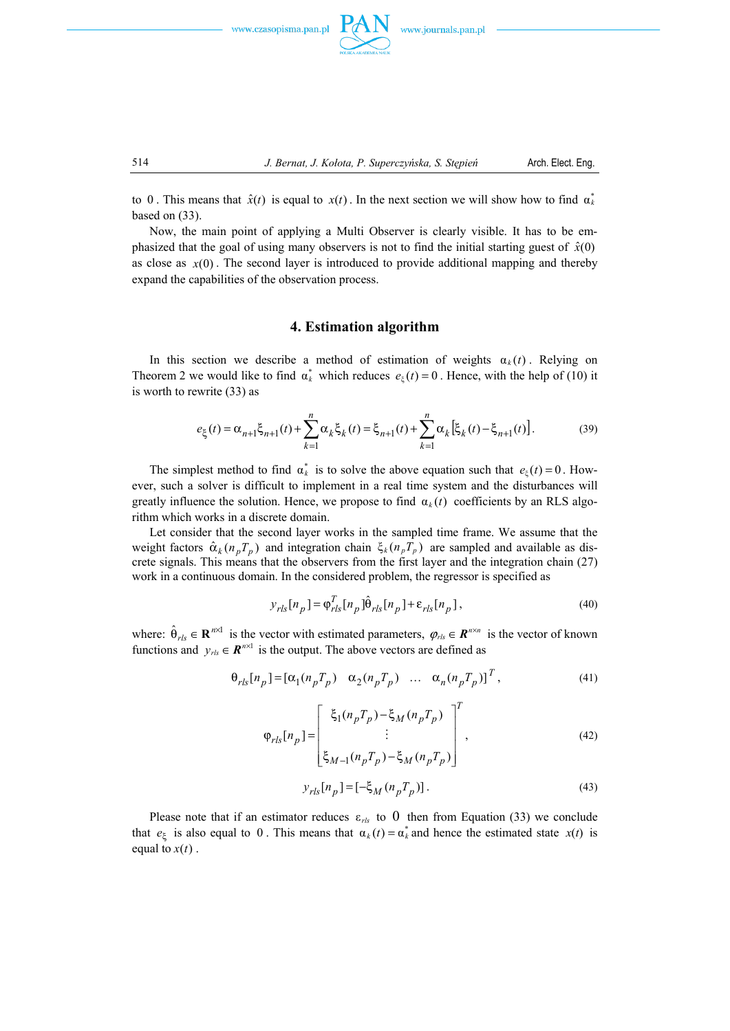



to 0. This means that  $\hat{x}(t)$  is equal to  $x(t)$ . In the next section we will show how to find  $\alpha_k^*$ based on (33).

Now, the main point of applying a Multi Observer is clearly visible. It has to be emphasized that the goal of using many observers is not to find the initial starting guest of  $\hat{x}(0)$ as close as  $x(0)$ . The second layer is introduced to provide additional mapping and thereby expand the capabilities of the observation process.

# **4. Estimation algorithm**

In this section we describe a method of estimation of weights  $\alpha_k(t)$ . Relying on Theorem 2 we would like to find  $\alpha_k^*$  which reduces  $e_{\xi}(t) = 0$ . Hence, with the help of (10) it is worth to rewrite (33) as

$$
e_{\xi}(t) = \alpha_{n+1}\xi_{n+1}(t) + \sum_{k=1}^{n} \alpha_k \xi_k(t) = \xi_{n+1}(t) + \sum_{k=1}^{n} \alpha_k \left[\xi_k(t) - \xi_{n+1}(t)\right].
$$
 (39)

The simplest method to find  $\alpha_k^*$  is to solve the above equation such that  $e_{\xi}(t) = 0$ . However, such a solver is difficult to implement in a real time system and the disturbances will greatly influence the solution. Hence, we propose to find  $\alpha_k(t)$  coefficients by an RLS algorithm which works in a discrete domain.

Let consider that the second layer works in the sampled time frame. We assume that the weight factors  $\hat{\alpha}_k (n_p T_p)$  and integration chain  $\xi_k (n_p T_p)$  are sampled and available as discrete signals. This means that the observers from the first layer and the integration chain (27) work in a continuous domain. In the considered problem, the regressor is specified as

$$
y_{rls}[n_p] = \varphi_{rls}^T[n_p] \hat{\theta}_{rls}[n_p] + \varepsilon_{rls}[n_p],
$$
\n(40)

where:  $\hat{\theta}_{rls} \in \mathbf{R}^{n \times 1}$  is the vector with estimated parameters,  $\varphi_{rls} \in \mathbf{R}^{n \times n}$  is the vector of known functions and  $y_{\text{rls}} \in \mathbf{R}^{\text{n} \times 1}$  is the output. The above vectors are defined as

$$
\Theta_{rls}[n_p] = [\alpha_1(n_p T_p) \quad \alpha_2(n_p T_p) \quad \dots \quad \alpha_n(n_p T_p)]^T,
$$
\n(41)

$$
\varphi_{rls}[n_p] = \begin{bmatrix} \xi_1(n_p T_p) - \xi_M(n_p T_p) \\ \vdots \\ \xi_{M-1}(n_p T_p) - \xi_M(n_p T_p) \end{bmatrix}^T,
$$
\n(42)

$$
y_{rls}[n_p] = [-\xi_M(n_p T_p)].
$$
\n(43)

Please note that if an estimator reduces  $\varepsilon_{rls}$  to 0 then from Equation (33) we conclude that  $e_{\xi}$  is also equal to 0. This means that  $\alpha_k(t) = \alpha_k^*$  and hence the estimated state  $x(t)$  is equal to  $x(t)$ .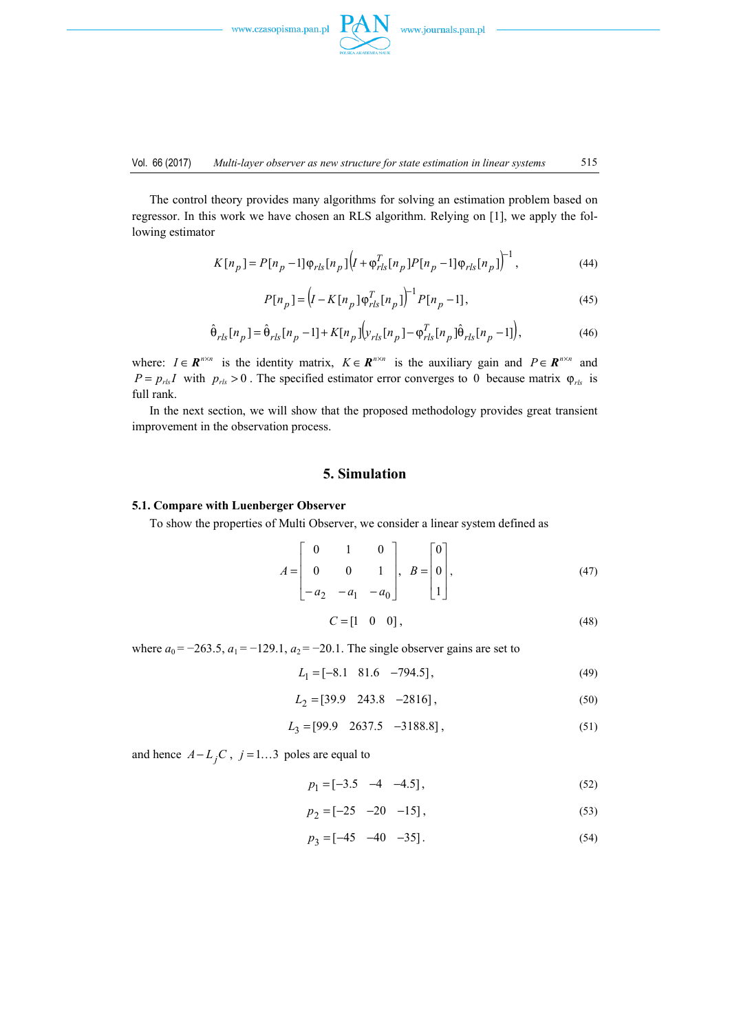

The control theory provides many algorithms for solving an estimation problem based on regressor. In this work we have chosen an RLS algorithm. Relying on [1], we apply the following estimator

$$
K[n_p] = P[n_p - 1]\varphi_{rls}[n_p]\left(I + \varphi_{rls}^T[n_p]P[n_p - 1]\varphi_{rls}[n_p]\right)^{-1},\tag{44}
$$

$$
P[n_p] = (I - K[n_p] \varphi_{rls}^T[n_p])^{-1} P[n_p - 1],
$$
\n(45)

$$
\hat{\Theta}_{rls}[n_p] = \hat{\Theta}_{rls}[n_p - 1] + K[n_p][v_{rls}[n_p] - \varphi_{rls}^T[n_p]\hat{\Theta}_{rls}[n_p - 1]),
$$
\n(46)

where:  $I \in \mathbb{R}^{n \times n}$  is the identity matrix,  $K \in \mathbb{R}^{n \times n}$  is the auxiliary gain and  $P \in \mathbb{R}^{n \times n}$  and  $P = p_{rls}I$  with  $p_{rls} > 0$ . The specified estimator error converges to 0 because matrix  $\varphi_{rls}$  is full rank.

In the next section, we will show that the proposed methodology provides great transient improvement in the observation process.

#### **5. Simulation**

#### **5.1. Compare with Luenberger Observer**

To show the properties of Multi Observer, we consider a linear system defined as

$$
A = \begin{bmatrix} 0 & 1 & 0 \\ 0 & 0 & 1 \\ -a_2 & -a_1 & -a_0 \end{bmatrix}, \quad B = \begin{bmatrix} 0 \\ 0 \\ 1 \end{bmatrix}, \tag{47}
$$

$$
C = \begin{bmatrix} 1 & 0 & 0 \end{bmatrix},\tag{48}
$$

where  $a_0 = -263.5$ ,  $a_1 = -129.1$ ,  $a_2 = -20.1$ . The single observer gains are set to

$$
L_1 = [-8.1 \quad 81.6 \quad -794.5],\tag{49}
$$

$$
L_2 = [39.9 \quad 243.8 \quad -2816], \tag{50}
$$

$$
L_3 = [99.9 \quad 2637.5 \quad -3188.8],\tag{51}
$$

and hence  $A - L_j C$ ,  $j = 1...3$  poles are equal to

$$
p_1 = [-3.5 \quad -4 \quad -4.5], \tag{52}
$$

$$
p_2 = [-25 \quad -20 \quad -15], \tag{53}
$$

$$
p_3 = \begin{bmatrix} -45 & -40 & -35 \end{bmatrix}.
$$
 (54)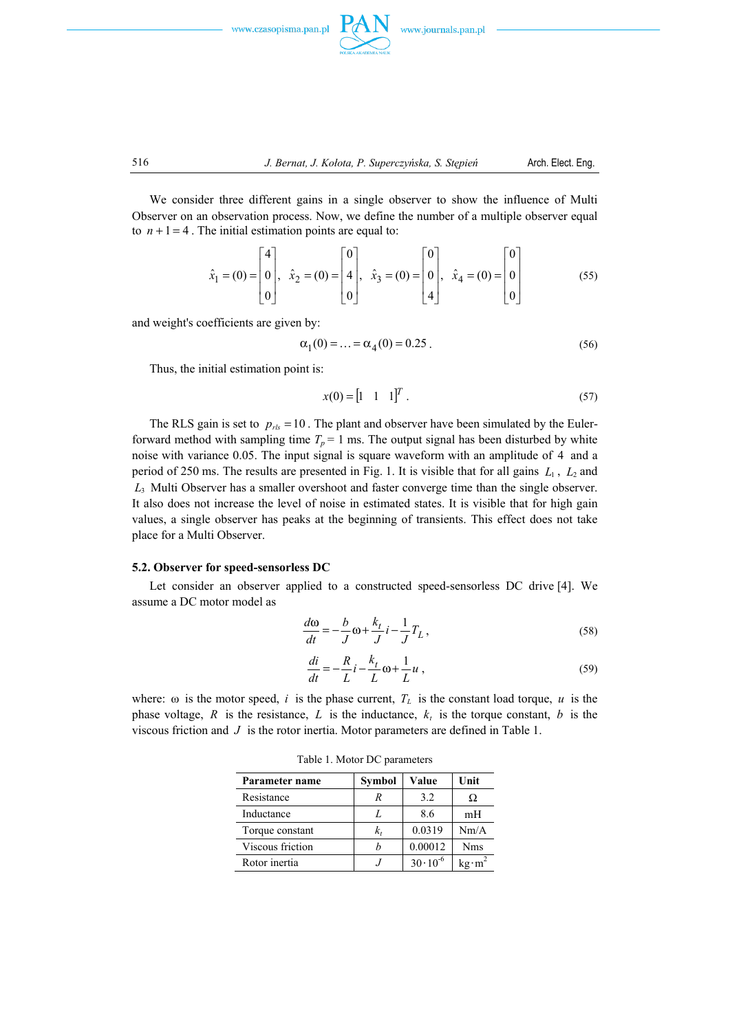



We consider three different gains in a single observer to show the influence of Multi Observer on an observation process. Now, we define the number of a multiple observer equal to  $n + 1 = 4$ . The initial estimation points are equal to:

$$
\hat{x}_1 = (0) = \begin{bmatrix} 4 \\ 0 \\ 0 \end{bmatrix}, \quad \hat{x}_2 = (0) = \begin{bmatrix} 0 \\ 4 \\ 0 \end{bmatrix}, \quad \hat{x}_3 = (0) = \begin{bmatrix} 0 \\ 0 \\ 4 \end{bmatrix}, \quad \hat{x}_4 = (0) = \begin{bmatrix} 0 \\ 0 \\ 0 \end{bmatrix}
$$
(55)

and weight's coefficients are given by:

$$
\alpha_1(0) = \dots = \alpha_4(0) = 0.25 \tag{56}
$$

Thus, the initial estimation point is:

$$
x(0) = \begin{bmatrix} 1 & 1 & 1 \end{bmatrix}^T. \tag{57}
$$

The RLS gain is set to  $p_{rls} = 10$ . The plant and observer have been simulated by the Eulerforward method with sampling time  $T_p = 1$  ms. The output signal has been disturbed by white noise with variance 0.05. The input signal is square waveform with an amplitude of 4 and a period of 250 ms. The results are presented in Fig. 1. It is visible that for all gains  $L_1$ ,  $L_2$  and *L*3 Multi Observer has a smaller overshoot and faster converge time than the single observer. It also does not increase the level of noise in estimated states. It is visible that for high gain values, a single observer has peaks at the beginning of transients. This effect does not take place for a Multi Observer.

#### **5.2. Observer for speed-sensorless DC**

Let consider an observer applied to a constructed speed-sensorless DC drive [4]. We assume a DC motor model as

$$
\frac{d\omega}{dt} = -\frac{b}{J}\omega + \frac{k_t}{J}i - \frac{1}{J}T_L,
$$
\n(58)

$$
\frac{di}{dt} = -\frac{R}{L}i - \frac{k_t}{L}\omega + \frac{1}{L}u\,,\tag{59}
$$

where:  $\omega$  is the motor speed, *i* is the phase current,  $T_L$  is the constant load torque, *u* is the phase voltage,  $R$  is the resistance,  $L$  is the inductance,  $k_t$  is the torque constant,  $b$  is the viscous friction and *J* is the rotor inertia. Motor parameters are defined in Table 1.

| Parameter name   | Symbol | Value              | Unit           |
|------------------|--------|--------------------|----------------|
| Resistance       | R      | 3.2                | Ω              |
| Inductance       |        | 8.6                | mH             |
| Torque constant  | k,     | 0.0319             | Nm/A           |
| Viscous friction |        | 0.00012            | <b>Nms</b>     |
| Rotor inertia    |        | $30 \cdot 10^{-6}$ | $kg \cdot m^2$ |

Table 1. Motor DC parameters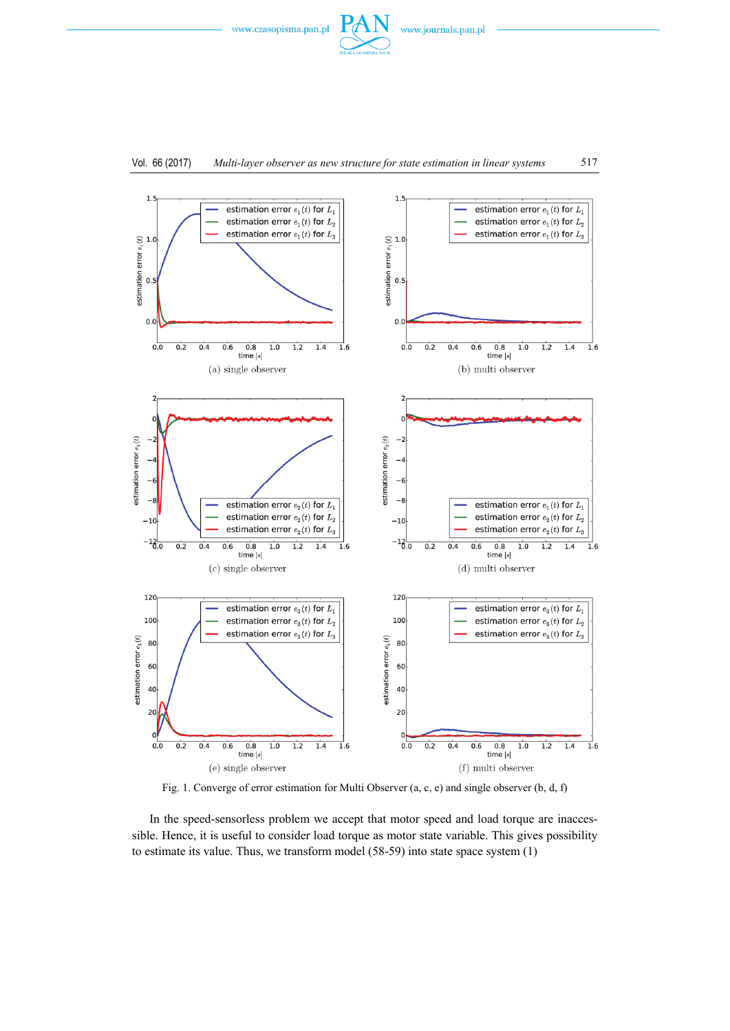



Fig. 1. Converge of error estimation for Multi Observer (a, c, e) and single observer (b, d, f)

In the speed-sensorless problem we accept that motor speed and load torque are inaccessible. Hence, it is useful to consider load torque as motor state variable. This gives possibility to estimate its value. Thus, we transform model (58-59) into state space system (1)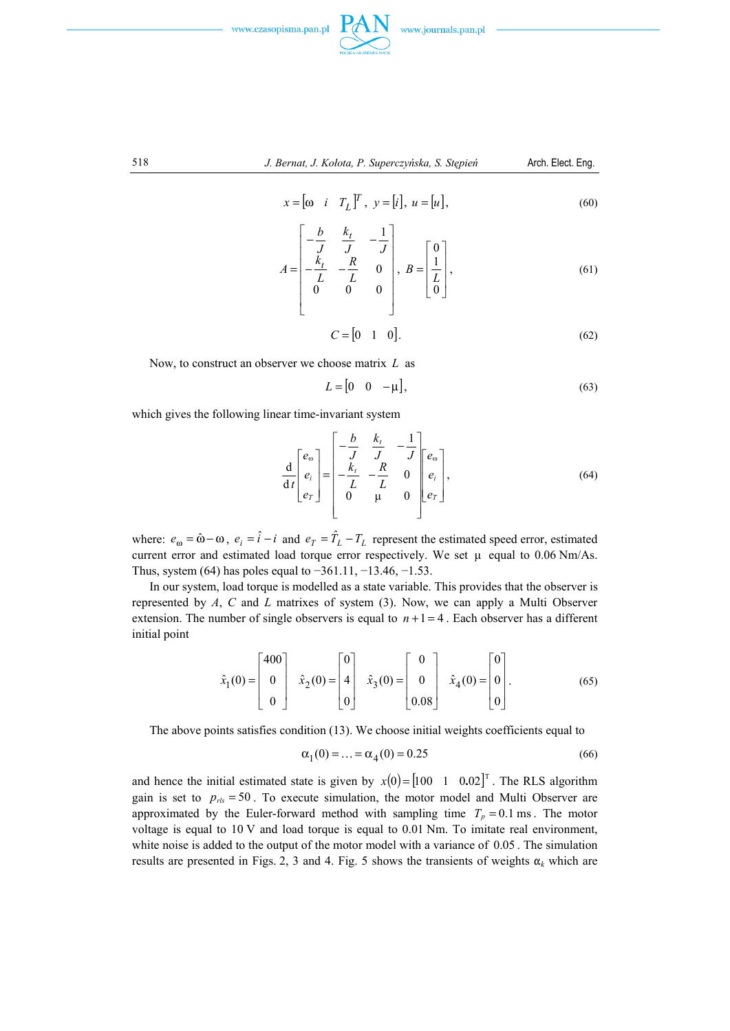

$$
f_{\rm{max}}
$$

518 *J. Bernat, J. Kołota, P. Superczyńska, S. Stępień* Arch. Elect. Eng.

$$
x = \begin{bmatrix} \omega & i & T_L \end{bmatrix}^T, \ y = \begin{bmatrix} i \end{bmatrix}, \ u = \begin{bmatrix} u \end{bmatrix}, \tag{60}
$$

$$
A = \begin{bmatrix} -\frac{b}{J} & \frac{k_t}{J} & -\frac{1}{J} \\ -\frac{k_t}{L} & -\frac{R}{L} & 0 \\ 0 & 0 & 0 \end{bmatrix}, B = \begin{bmatrix} 0 \\ \frac{1}{L} \\ 0 \end{bmatrix},
$$
(61)

$$
C = \begin{bmatrix} 0 & 1 & 0 \end{bmatrix}.
$$
 (62)

Now, to construct an observer we choose matrix *L* as

$$
L = \begin{bmatrix} 0 & 0 & -\mu \end{bmatrix},\tag{63}
$$

which gives the following linear time-invariant system

$$
\frac{\mathrm{d}}{\mathrm{d}t} \begin{bmatrix} e_{\omega} \\ e_i \\ e_r \end{bmatrix} = \begin{bmatrix} -\frac{b}{J} & \frac{k_t}{J} & -\frac{1}{J} \\ -\frac{k_t}{L} & -\frac{R}{L} & 0 \\ 0 & \mu & 0 \end{bmatrix} \begin{bmatrix} e_{\omega} \\ e_i \\ e_r \end{bmatrix},
$$
(64)

where:  $e_{\omega} = \hat{\omega} - \omega$ ,  $e_i = \hat{i} - i$  and  $e_T = \hat{T}_L - T_L$  represent the estimated speed error, estimated current error and estimated load torque error respectively. We set  $\mu$  equal to 0.06 Nm/As. Thus, system (64) has poles equal to −361.11, −13.46, −1.53.

In our system, load torque is modelled as a state variable. This provides that the observer is represented by *A*, *C* and *L* matrixes of system (3). Now, we can apply a Multi Observer extension. The number of single observers is equal to  $n+1=4$ . Each observer has a different initial point

$$
\hat{x}_1(0) = \begin{bmatrix} 400 \\ 0 \\ 0 \end{bmatrix} \quad \hat{x}_2(0) = \begin{bmatrix} 0 \\ 4 \\ 0 \end{bmatrix} \quad \hat{x}_3(0) = \begin{bmatrix} 0 \\ 0 \\ 0.08 \end{bmatrix} \quad \hat{x}_4(0) = \begin{bmatrix} 0 \\ 0 \\ 0 \end{bmatrix} . \tag{65}
$$

The above points satisfies condition (13). We choose initial weights coefficients equal to

$$
\alpha_1(0) = \dots = \alpha_4(0) = 0.25\tag{66}
$$

and hence the initial estimated state is given by  $x(0) = \begin{bmatrix} 100 & 1 & 0.02 \end{bmatrix}^T$ . The RLS algorithm gain is set to  $p_{\text{rls}} = 50$ . To execute simulation, the motor model and Multi Observer are approximated by the Euler-forward method with sampling time  $T_p = 0.1$  ms. The motor voltage is equal to 10 V and load torque is equal to 0.01 Nm. To imitate real environment, white noise is added to the output of the motor model with a variance of 0.05. The simulation results are presented in Figs. 2, 3 and 4. Fig. 5 shows the transients of weights  $\alpha_k$  which are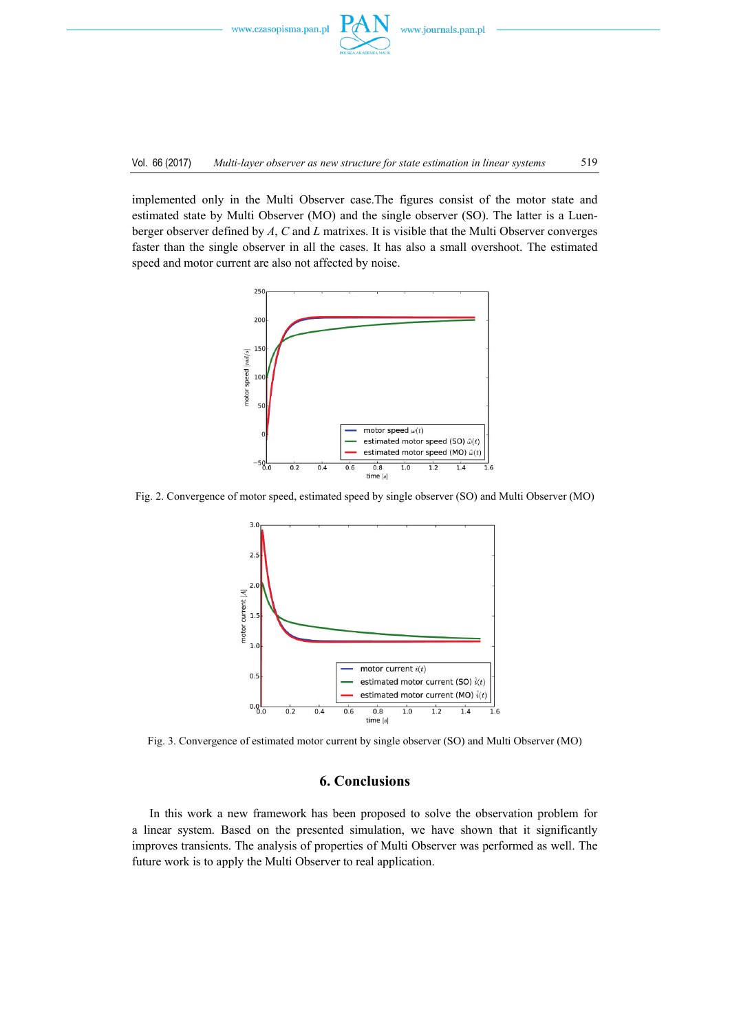

implemented only in the Multi Observer case.The figures consist of the motor state and estimated state by Multi Observer (MO) and the single observer (SO). The latter is a Luenberger observer defined by *A*, *C* and *L* matrixes. It is visible that the Multi Observer converges faster than the single observer in all the cases. It has also a small overshoot. The estimated speed and motor current are also not affected by noise.



Fig. 2. Convergence of motor speed, estimated speed by single observer (SO) and Multi Observer (MO)



Fig. 3. Convergence of estimated motor current by single observer (SO) and Multi Observer (MO)

## **6. Conclusions**

In this work a new framework has been proposed to solve the observation problem for a linear system. Based on the presented simulation, we have shown that it significantly improves transients. The analysis of properties of Multi Observer was performed as well. The future work is to apply the Multi Observer to real application.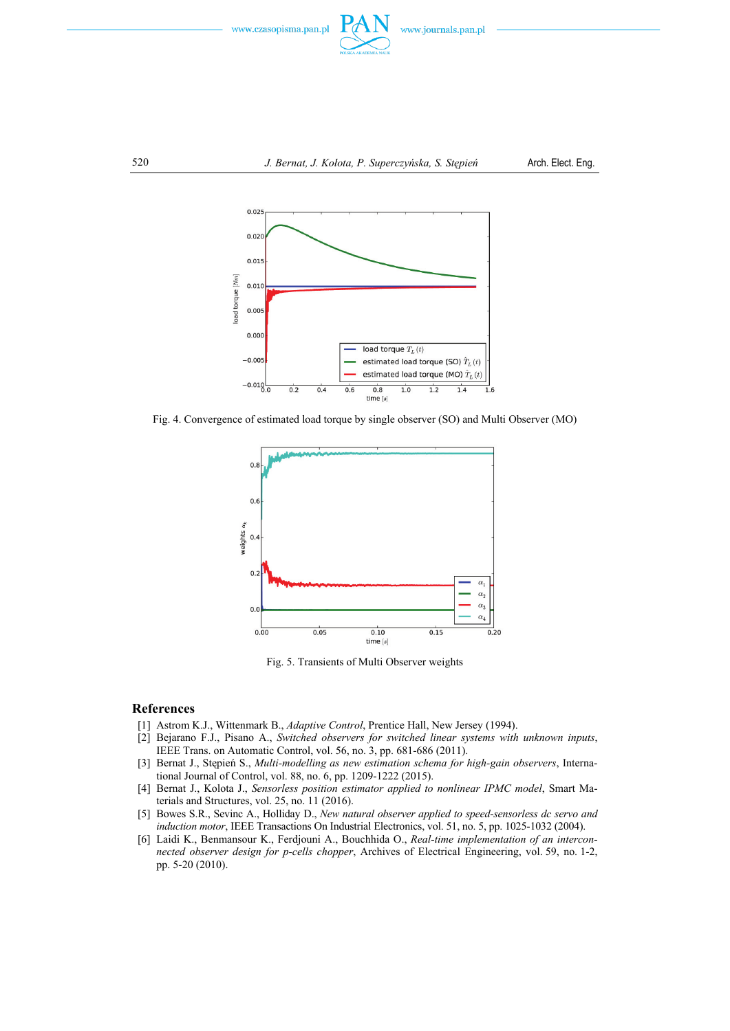



Fig. 4. Convergence of estimated load torque by single observer (SO) and Multi Observer (MO)



Fig. 5. Transients of Multi Observer weights

#### **References**

- [1] Astrom K.J., Wittenmark B., *Adaptive Control*, Prentice Hall, New Jersey (1994).
- [2] Bejarano F.J., Pisano A., *Switched observers for switched linear systems with unknown inputs*, IEEE Trans. on Automatic Control, vol. 56, no. 3, pp. 681-686 (2011).
- [3] Bernat J., Stępień S., *Multi-modelling as new estimation schema for high-gain observers*, International Journal of Control, vol. 88, no. 6, pp. 1209-1222 (2015).
- [4] Bernat J., Kolota J., *Sensorless position estimator applied to nonlinear IPMC model*, Smart Materials and Structures, vol. 25, no. 11 (2016).
- [5] Bowes S.R., Sevinc A., Holliday D., *New natural observer applied to speed-sensorless dc servo and induction motor*, IEEE Transactions On Industrial Electronics, vol. 51, no. 5, pp. 1025-1032 (2004).
- [6] Laidi K., Benmansour K., Ferdjouni A., Bouchhida O., *Real-time implementation of an interconnected observer design for p-cells chopper*, Archives of Electrical Engineering, vol. 59, no. 1-2, pp. 5-20 (2010).